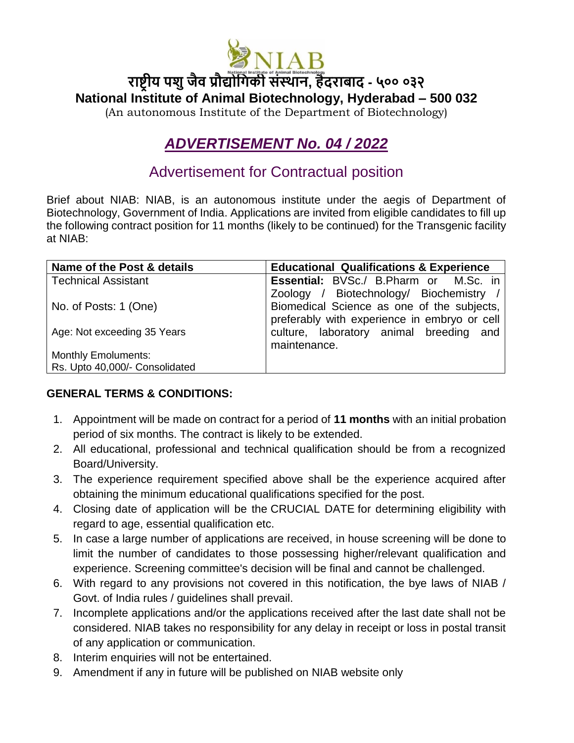

**राष्ट्रीय पशुजैव प्रौद्योगिकी संस्थान, हैदराबाद - ५०० ०३२ National Institute of Animal Biotechnology, Hyderabad – 500 032**

(An autonomous Institute of the Department of Biotechnology)

## *ADVERTISEMENT No. 04 / 2022*

## Advertisement for Contractual position

Brief about NIAB: NIAB, is an autonomous institute under the aegis of Department of Biotechnology, Government of India. Applications are invited from eligible candidates to fill up the following contract position for 11 months (likely to be continued) for the Transgenic facility at NIAB:

| Name of the Post & details     | <b>Educational Qualifications &amp; Experience</b> |
|--------------------------------|----------------------------------------------------|
| <b>Technical Assistant</b>     | <b>Essential:</b> BVSc./ B.Pharm or M.Sc. in       |
|                                | Zoology / Biotechnology/ Biochemistry /            |
| No. of Posts: 1 (One)          | Biomedical Science as one of the subjects,         |
|                                | preferably with experience in embryo or cell       |
| Age: Not exceeding 35 Years    | culture, laboratory animal breeding and            |
|                                | maintenance.                                       |
| <b>Monthly Emoluments:</b>     |                                                    |
| Rs. Upto 40,000/- Consolidated |                                                    |

## **GENERAL TERMS & CONDITIONS:**

- 1. Appointment will be made on contract for a period of **11 months** with an initial probation period of six months. The contract is likely to be extended.
- 2. All educational, professional and technical qualification should be from a recognized Board/University.
- 3. The experience requirement specified above shall be the experience acquired after obtaining the minimum educational qualifications specified for the post.
- 4. Closing date of application will be the CRUCIAL DATE for determining eligibility with regard to age, essential qualification etc.
- 5. In case a large number of applications are received, in house screening will be done to limit the number of candidates to those possessing higher/relevant qualification and experience. Screening committee's decision will be final and cannot be challenged.
- 6. With regard to any provisions not covered in this notification, the bye laws of NIAB / Govt. of India rules / guidelines shall prevail.
- 7. Incomplete applications and/or the applications received after the last date shall not be considered. NIAB takes no responsibility for any delay in receipt or loss in postal transit of any application or communication.
- 8. Interim enquiries will not be entertained.
- 9. Amendment if any in future will be published on NIAB website only